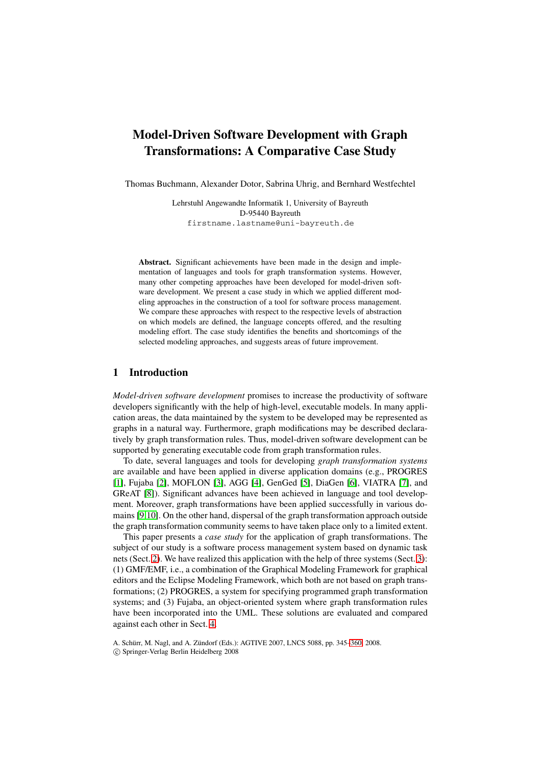# **Model-Driven Software Development with Graph Transformations: A Comparative Case Study**

Thomas Buchmann, Alexander Dotor, Sabrina Uhrig, and Bernhard Westfechtel

Lehrstuhl Angewandte Informatik 1, University of Bayreuth D-95440 Bayreuth firstname.lastname@uni-bayreuth.de

**Abstract.** Significant achievements have been made in the design and implementation of languages and tools for graph transformation systems. However, many other competing approaches have been developed for model-driven software development. We present a case study in which we applied different modeling approaches in the construction of a tool for software process management. We compare these approaches with respect to the respective levels of abstraction on which models are defined, the language concepts offered, and the resulting modeling effort. The case study identifies the benefits and shortcomings of the selected modeling approaches, and suggests areas of future improvement.

# **1 Introduction**

*Model-driven software development* promises to increase the productivity of software developers significantly with the help of high-level, executable models. In many application areas, the data maintained by the system to be developed may be represented as graphs in a natural way. Furthermore, graph modifications may be described declaratively by graph transformation rules. Thus, model-driven software development can be supported by generating executable code from graph transformation rules.

To date, several languages and tools for developing *graph transformation systems* are available and have been applied in diverse application domains (e.g., PROGRES [1], Fujaba [2], MOFLON [3], AGG [4], GenGed [5], DiaGen [6], VIATRA [7], and GReAT [8]). Significant advances have been achieved in language and tool development. Moreover, graph transformations have been applied successfully in various domains [9,10]. On the other hand, dispersal of the graph transformation approach outside [the](#page-14-0) graph tr[ans](#page-14-1)formation co[mm](#page-14-2)unity s[eem](#page-14-3)s to have [tak](#page-14-4)en place o[nly](#page-14-5) to a limite[d ex](#page-15-0)tent.

This [pap](#page-15-1)er presents a *case study* for the application of graph transformations. The subject of our study is a software process management system based on dynamic task nets (S[ec](#page-15-2)[t. 2](#page-15-3)). We have realized this application with the help of three systems (Sect. 3): (1) GMF/EMF, i.e., a combination of the Graphical Modeling Framework for graphical editors and the Eclipse Modeling Framework, which both are not based on graph transformations; (2) PROGRES, a system for specifying programmed graph transformation systems; a[nd](#page-1-0) (3) Fujaba, an object-oriented system where graph transformation r[ule](#page-3-0)s have been incorporated into the UML. These solutions are evaluated and compared against each other in Sect. 4.

A. Schürr, M. Nagl, and A. Zündorf (Eds.): AGTIVE 2007, LNCS 5088, pp. 345–360, 2008. -c Springer-Verlag Berlin Heidelberg 2008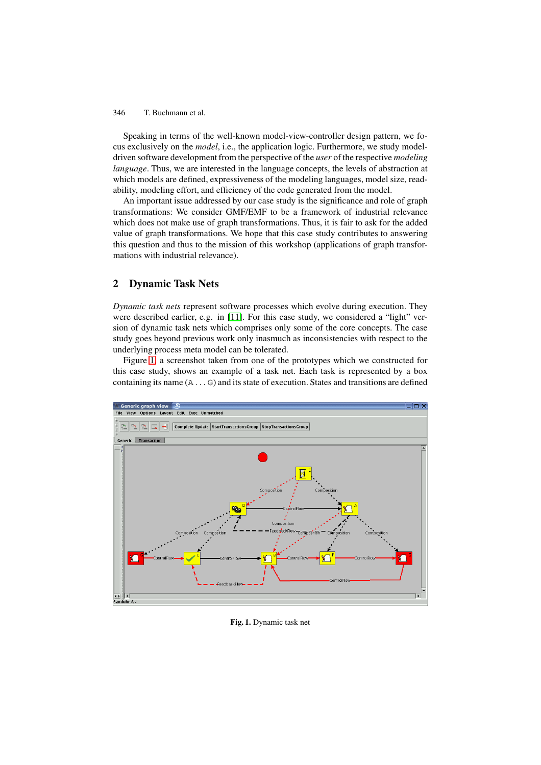Speaking in terms of the well-known model-view-controller design pattern, we focus exclusively on the *model*, i.e., the application logic. Furthermore, we study modeldriven software development from the perspective of the *user* of the respective *modeling language*. Thus, we are interested in the language concepts, the levels of abstraction at which models are defined, expressiveness of the modeling languages, model size, readability, modeling effort, and efficiency of the code generated from the model.

An important issue addressed by our case study is the significance and role of graph transformations: We consider GMF/EMF to be a framework of industrial relevance which does not make use of graph transformations. Thus, it is fair to ask for the added value of graph transformations. We hope that this case study contributes to answering this question and thus to the mission of this workshop (applications of graph transformations with industrial relevance).

## **2 Dynamic Task Nets**

<span id="page-1-0"></span>*Dynamic task nets* represent software processes which evolve during execution. They were described earlier, e.g. in [11]. For this case study, we considered a "light" version of dynamic task nets which comprises only some of the core concepts. The case study goes beyond previous work only inasmuch as inconsistencies with respect to the underlying process meta model can be tolerated.

Figure 1, a screenshot taken [fro](#page-15-4)m one of the prototypes which we constructed for this case study, shows an example of a task net. Each task is represented by a box containing its name (A ... G) and its state of execution. States and transitions are defined



<span id="page-1-1"></span>**Fig. 1.** Dynamic task net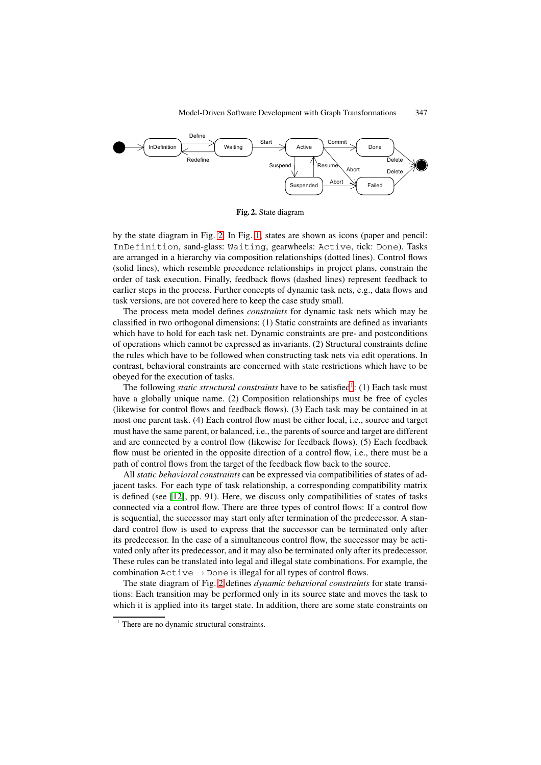

<span id="page-2-0"></span>**Fig. 2.** State diagram

by the state diagram in Fig. 2. In Fig. 1, states are shown as icons (paper and pencil: InDefinition, sand-glass: Waiting, gearwheels: Active, tick: Done). Tasks are arranged in a hierarchy via composition relationships (dotted lines). Control flows (solid lines), which resemble precedence relationships in project plans, constrain the order of task execution. Fin[all](#page-2-0)y, feed[bac](#page-1-1)k flows (dashed lines) represent feedback to earlier steps in the process. Further concepts of dynamic task nets, e.g., data flows and task versions, are not covered here to keep the case study small.

The process meta model defines *constraints* for dynamic task nets which may be classified in two orthogonal dimensions: (1) Static constraints are defined as invariants which have to hold for each task net. Dynamic constraints are pre- and postconditions of operations which cannot be expressed as invariants. (2) Structural constraints define the rules which have to be followed when constructing task nets via edit operations. In contrast, behavioral constraints are concerned with state restrictions which have to be obeyed for the execution of tasks.

The following *static structural constraints* have to be satisfied<sup>1</sup>: (1) Each task must have a globally unique name. (2) Composition relationships must be free of cycles (likewise for control flows and feedback flows). (3) Each task may be contained in at most one parent task. (4) Each control flow must be either local, i.e., source and target must have the same parent, or balanced, i.e., the parents of source [an](#page-2-1)d target are different and are connected by a control flow (likewise for feedback flows). (5) Each feedback flow must be oriented in the opposite direction of a control flow, i.e., there must be a path of control flows from the target of the feedback flow back to the source.

All *static behavioral constraints* can be expressed via compatibilities of states of adjacent tasks. For each type of task relationship, a corresponding compatibility matrix is defined (see [12], pp. 91). Here, we discuss only compatibilities of states of tasks connected via a control flow. There are three types of control flows: If a control flow is sequential, the successor may start only after termination of the predecessor. A standard control flow is used to express that the successor can be terminated only after its predecessor. [In t](#page-15-5)he case of a simultaneous control flow, the successor may be activated only after its predecessor, and it may also be terminated only after its predecessor. These rules can be translated into legal and illegal state combinations. For example, the combination  $\text{Active} \rightarrow \text{Done}$  is illegal for all types of control flows.

The state diagram of Fig. 2 defines *dynamic behavioral constraints* for state transitions: Each transition may be performed only in its source state and moves the task to which it is applied into its target state. In addition, there are some state constraints on

<span id="page-2-1"></span> $<sup>1</sup>$  There are no dynamic struct[ural](#page-2-0) constraints.</sup>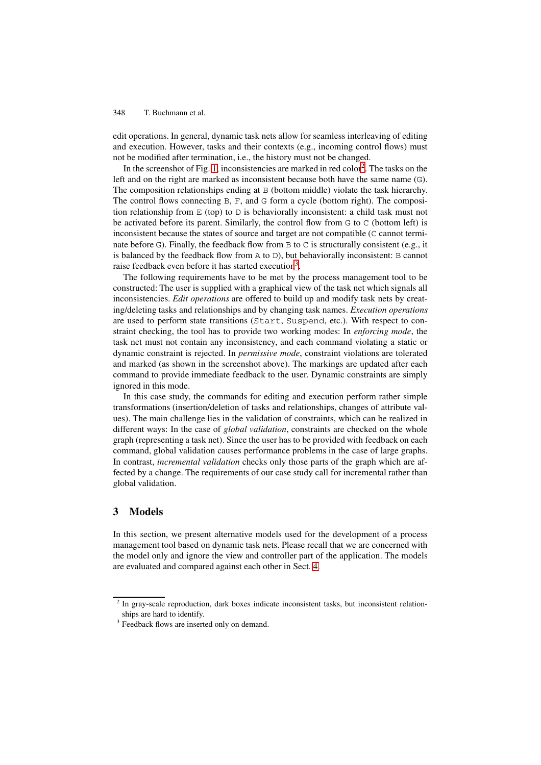edit operations. In general, dynamic task nets allow for seamless interleaving of editing and execution. However, tasks and their contexts (e.g., incoming control flows) must not be modified after termination, i.e., the history must not be changed.

In the screenshot of Fig. 1, inconsistencies are marked in red color<sup>2</sup>. The tasks on the left and on the right are marked as inconsistent because both have the same name (G). The composition relationships ending at B (bottom middle) violate the task hierarchy. The control flows connecting B, F, and G form a cycle (bottom right). The composition relationship from  $E$  (t[op](#page-1-1)) to  $D$  is behaviorally inconsistent: a [ch](#page-3-1)ild task must not be activated before its parent. Similarly, the control flow from  $G$  to  $C$  (bottom left) is inconsistent because the states of source and target are not compatible (C cannot terminate before G). Finally, the feedback flow from B to C is structurally consistent (e.g., it is balanced by the feedback flow from A to D), but behaviorally inconsistent: B cannot raise feedback even before it has started execution<sup>3</sup>.

The following requirements have to be met by the process management tool to be constructed: The user is supplied with a graphical view of the task net which signals all inconsistencies. *Edit operations* are offered to build up and modify task nets by creating/deleting tasks and relationships and by chang[in](#page-3-2)g task names. *Execution operations* are used to perform state transitions (Start, Suspend, etc.). With respect to constraint checking, the tool has to provide two working modes: In *enforcing mode*, the task net must not contain any inconsistency, and each command violating a static or dynamic constraint is rejected. In *permissive mode*, constraint violations are tolerated and marked (as shown in the screenshot above). The markings are updated after each command to provide immediate feedback to the user. Dynamic constraints are simply ignored in this mode.

In this case study, the commands for editing and execution perform rather simple transformations (insertion/deletion of tasks and relationships, changes of attribute values). The main challenge lies in the validation of constraints, which can be realized in different ways: In the case of *global validation*, constraints are checked on the whole graph (representing a task net). Since the user has to be provided with feedback on each command, global validation causes performance problems in the case of large graphs. In contrast, *incremental validation* checks only those parts of the graph which are affected by a change. The requirements of our case study call for incremental rather than global validation.

## **3 Models**

<span id="page-3-0"></span>In this section, we present alternative models used for the development of a process management tool based on dynamic task nets. Please recall that we are concerned with the model only and ignore the view and controller part of the application. The models are evaluated and compared against each other in Sect. 4.

<sup>&</sup>lt;sup>2</sup> In gray-scale reproduction, dark boxes indicate inconsist[ent](#page-11-0) tasks, but inconsistent relationships are hard to identify.

<span id="page-3-2"></span><span id="page-3-1"></span><sup>&</sup>lt;sup>3</sup> Feedback flows are inserted only on demand.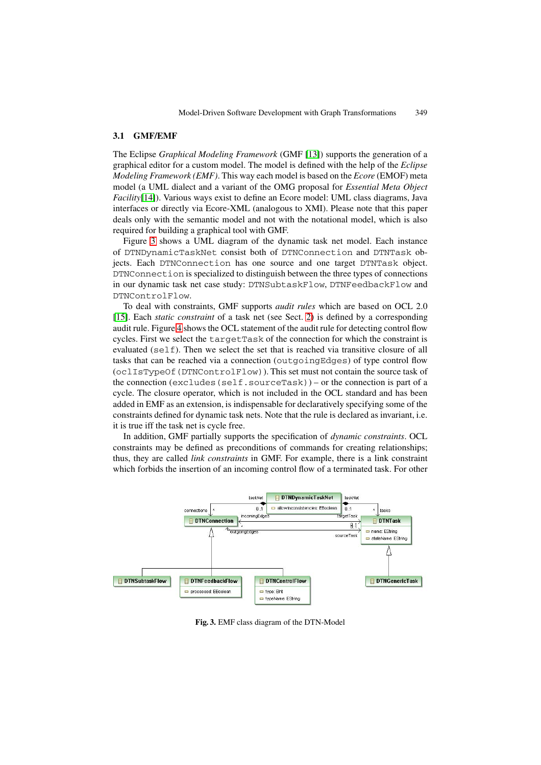#### **3.1 GMF/EMF**

The Eclipse *Graphical Modeling Framework* (GMF [13]) supports the generation of a graphical editor for a custom model. The model is defined with the help of the *Eclipse Modeling Framework (EMF)*. This way each model is based on the *Ecore* (EMOF) meta model (a UML dialect and a variant of the OMG proposal for *Essential Meta Object Facility*[14]). Various ways exist to define an Ecore [mod](#page-15-6)el: UML class diagrams, Java interfaces or directly via Ecore-XML (analogous to XMI). Please note that this paper deals only with the semantic model and not with the notational model, which is also required for building a graphical tool with GMF.

Figu[re 3](#page-15-7) shows a UML diagram of the dynamic task net model. Each instance of DTNDynamicTaskNet consist both of DTNConnection and DTNTask objects. Each DTNConnection has one source and one target DTNTask object. DTNConnection is specialized to distinguish between the three types of connections in our dy[nam](#page-4-0)ic task net case study: DTNSubtaskFlow, DTNFeedbackFlow and DTNControlFlow.

To deal with constraints, GMF supports *audit rules* which are based on OCL 2.0 [15]. Each *static constraint* of a task net (see Sect. 2) is defined by a corresponding audit rule. Figure 4 shows the OCL statement of the audit rule for detecting control flow cycles. First we select the targetTask of the connection for which the constraint is evaluated  $(self)$ . Then we select the set that is reached via transitive closure of all [task](#page-15-8)s that can be reached via a connection (outgo[in](#page-1-0)gEdges) of type control flow (oclIsTypeOf[\(D](#page-5-0)TNControlFlow)). This set must not contain the source task of the connection (excludes (self.sourceTask)) – or the connection is part of a cycle. The closure operator, which is not included in the OCL standard and has been added in EMF as an extension, is indispensable for declaratively specifying some of the constraints defined for dynamic task nets. Note that the rule is declared as invariant, i.e. it is true iff the task net is cycle free.

In addition, GMF partially supports the specification of *dynamic constraints*. OCL constraints may be defined as preconditions of commands for creating relationships; thus, they are called *link constraints* in GMF. For example, there is a link constraint which forbids the insertion of an incoming control flow of a terminated task. For other



<span id="page-4-0"></span>**Fig. 3.** EMF class diagram of the DTN-Model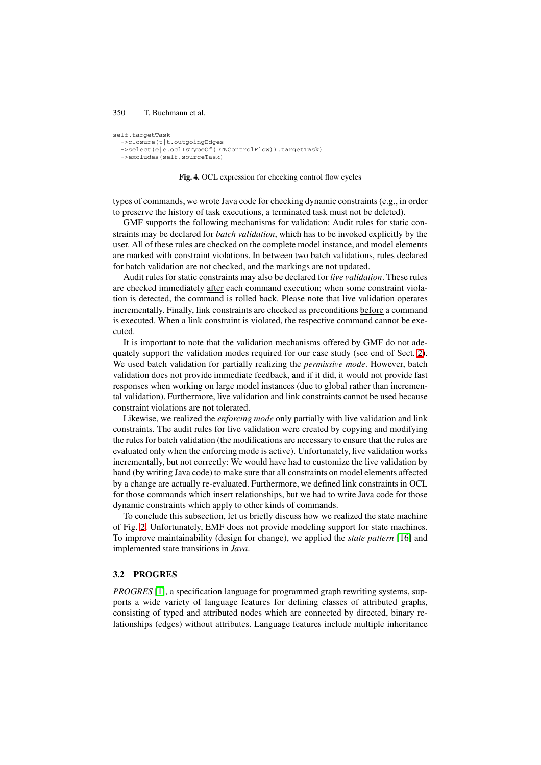```
self.targetTask
  ->closure(t|t.outgoingEdges
  ->select(e|e.oclIsTypeOf(DTNControlFlow)).targetTask)
  ->excludes(self.sourceTask)
```
**Fig. 4.** OCL expression for checking control flow cycles

types of commands, we wrote Java code for checking dynamic constraints (e.g., in order to preserve the history of task executions, a terminated task must not be deleted).

<span id="page-5-0"></span>GMF supports the following mechanisms for validation: Audit rules for static constraints may be declared for *batch validation*, which has to be invoked explicitly by the user. All of these rules are checked on the complete model instance, and model elements are marked with constraint violations. In between two batch validations, rules declared for batch validation are not checked, and the markings are not updated.

Audit rules for static constraints may also be declared for *live validation*. These rules are checked immediately after each command execution; when some constraint violation is detected, the command is rolled back. Please note that live validation operates incrementally. Finally, link constraints are checked as preconditions before a command is executed. When a link constraint is violated, the respective command cannot be executed.

It is important to note that the validation mechanisms offered by GMF do not adequately support the validation modes required for our case study (see end of Sect. 2). We used batch validation for partially realizing the *permissive mode*. However, batch validation does not provide immediate feedback, and if it did, it would not provide fast responses when working on large model instances (due to global rather than incremental validation). Furthermore, live validation and link constraints cannot be used beca[us](#page-1-0)e constraint violations are not tolerated.

Likewise, we realized the *enforcing mode* only partially with live validation and link constraints. The audit rules for live validation were created by copying and modifying the rules for batch validation (the modifications are necessary to ensure that the rules are evaluated only when the enforcing mode is active). Unfortunately, live validation works incrementally, but not correctly: We would have had to customize the live validation by hand (by writing Java code) to make sure that all constraints on model elements affected by a change are actually re-evaluated. Furthermore, we defined link constraints in OCL for those commands which insert relationships, but we had to write Java code for those dynamic constraints which apply to other kinds of commands.

To conclude this subsection, let us briefly discuss how we realized the state machine of Fig. 2. Unfortunately, EMF does not provide modeling support for state machines. To improve maintainability (design for change), we applied the *state pattern* [16] and implemented state transitions in *Java*.

#### **3.2 P[RO](#page-2-0)GRES**

*PROGRES* [1], a specification language for programmed graph rewriting systems, supports a wide variety of language features for defining classes of attributed graphs, consisting of typed and attributed nodes which are connected by directed, binary relationships (edges) without attributes. Language features include multiple inheritance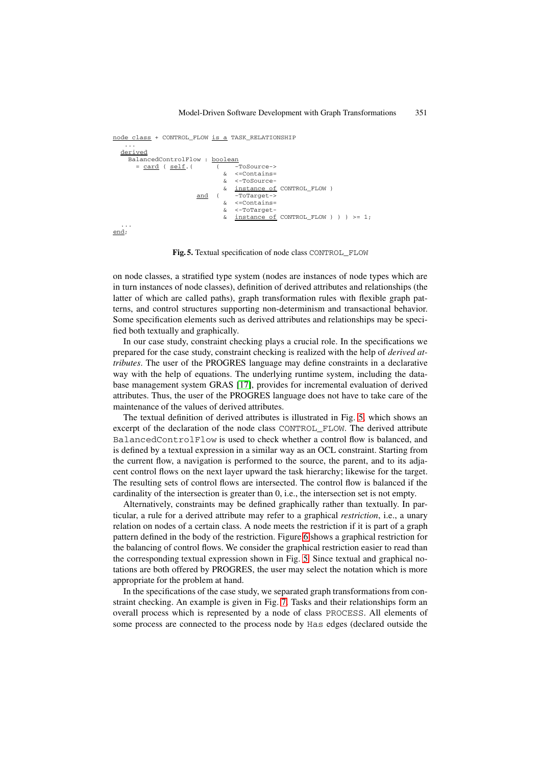```
node class + CONTROL_FLOW is a TASK_RELATIONSHIP
  ...
derived
   BalancedControlFlow : boolean
     = card ( self.( ( -ToSource->
                            & <=Contains=
                            & <-ToSource-
                            & instance of CONTROL_FLOW )
                     and ( -ToTarget->
                            & <=Contains=
                            & <-ToTarget-
                            & instance of CONTROL_FLOW ) ) ) >= 1;
  ...
end;
```
**Fig. 5.** Textual specification of node class CONTROL\_FLOW

<span id="page-6-0"></span>on node classes, a stratified type system (nodes are instances of node types which are in turn instances of node classes), definition of derived attributes and relationships (the latter of which are called paths), graph transformation rules with flexible graph patterns, and control structures supporting non-determinism and transactional behavior. Some specification elements such as derived attributes and relationships may be specified both textually and graphically.

In our case study, constraint checking plays a crucial role. In the specifications we prepared for the case study, constraint checking is realized with the help of *derived attributes*. The user of the PROGRES language may define constraints in a declarative way with the help of equations. The underlying runtime system, including the database management system GRAS [17], provides for incremental evaluation of derived attributes. Thus, the user of the PROGRES language does not have to take care of the maintenance of the values of derived attributes.

The textual definition of derived attributes is illustrated in Fig. 5, which shows an excerpt of the declaration of the [nod](#page-15-9)e class CONTROL\_FLOW. The derived attribute BalancedControlFlow is used to check whether a control flow is balanced, and is defined by a textual expression in a similar way as an OCL constraint. Starting from the current flow, a navigation is performed to the source, the par[ent](#page-6-0), and to its adjacent control flows on the next layer upward the task hierarchy; likewise for the target. The resulting sets of control flows are intersected. The control flow is balanced if the cardinality of the intersection is greater than 0, i.e., the intersection set is not empty.

Alternatively, constraints may be defined graphically rather than textually. In particular, a rule for a derived attribute may refer to a graphical *restriction*, i.e., a unary relation on nodes of a certain class. A node meets the restriction if it is part of a graph pattern defined in the body of the restriction. Figure 6 shows a graphical restriction for the balancing of control flows. We consider the graphical restriction easier to read than the corresponding textual expression shown in Fig. 5. Since textual and graphical notations are both offered by PROGRES, the user may select the notation which is more appropriate for the problem at hand.

In the specifications of the case study, we separated graph transformations from constraint checking. An example is given in Fig. 7. Ta[sks](#page-6-0) and their relationships form an overall process which is represented by a node of class PROCESS. All elements of some process are connected to the process node by Has edges (declared outside the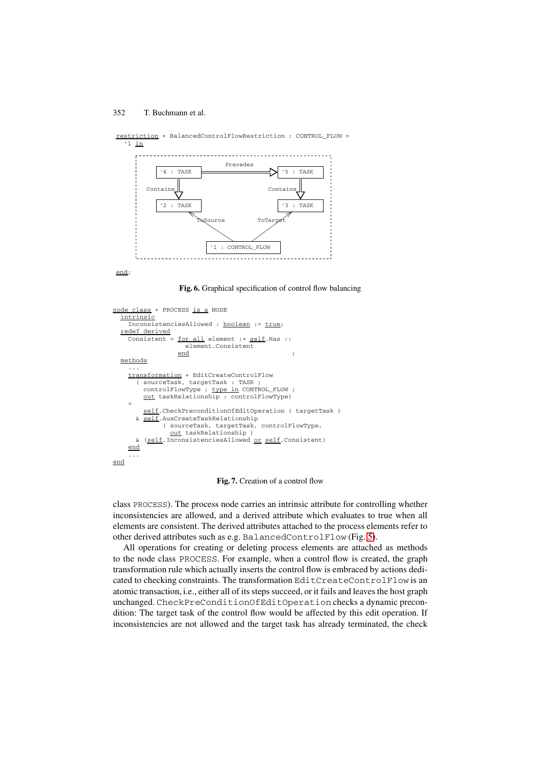

restriction + BalancedControlFlowRestriction : CONTROL\_FLOW = '1 in





**Fig. 7.** Creation of a control flow

class PROCESS). The process node carries an intrinsic attribute for controlling whether inconsistencies are allowed, and a derived attribute which evaluates to true when all elements are consistent. The derived attributes attached to the process elements refer to other derived attributes such as e.g. BalancedControlFlow (Fig. 5).

<span id="page-7-0"></span>All operations for creating or deleting process elements are attached as methods to the node class PROCESS. For example, when a control flow is created, the graph transformation rule which actually inserts the control flow is embraced by actions dedicated to checking constraints. The transformation EditCreateCon[tr](#page-6-0)olFlow is an atomic transaction, i.e., either all of its steps succeed, or it fails and leaves the host graph unchanged. CheckPreConditionOfEditOperation checks a dynamic precondition: The target task of the control flow would be affected by this edit operation. If inconsistencies are not allowed and the target task has already terminated, the check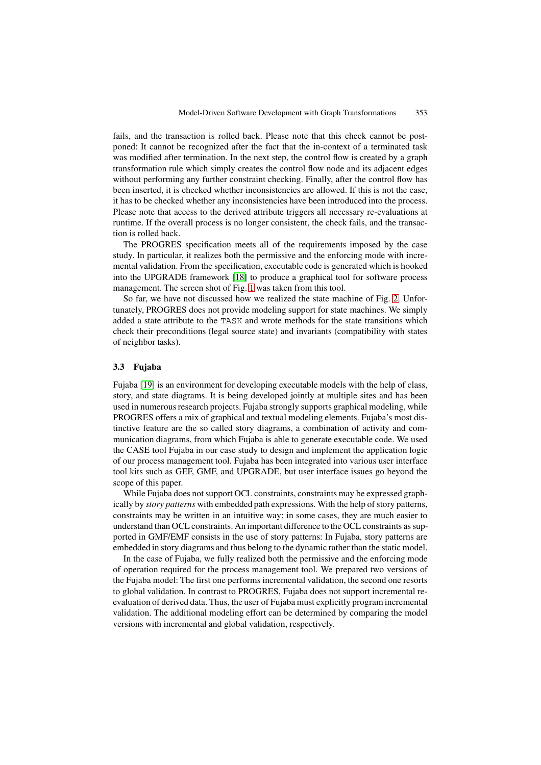fails, and the transaction is rolled back. Please note that this check cannot be postponed: It cannot be recognized after the fact that the in-context of a terminated task was modified after termination. In the next step, the control flow is created by a graph transformation rule which simply creates the control flow node and its adjacent edges without performing any further constraint checking. Finally, after the control flow has been inserted, it is checked whether inconsistencies are allowed. If this is not the case, it has to be checked whether any inconsistencies have been introduced into the process. Please note that access to the derived attribute triggers all necessary re-evaluations at runtime. If the overall process is no longer consistent, the check fails, and the transaction is rolled back.

The PROGRES specification meets all of the requirements imposed by the case study. In particular, it realizes both the permissive and the enforcing mode with incremental validation. From the specification, executable code is generated which is hooked into the UPGRADE framework [18] to produce a graphical tool for software process management. The screen shot of Fig. 1 was taken from this tool.

So far, we have not discussed how we realized the state machine of Fig. 2. Unfortunately, PROGRES does not provide modeling support for state machines. We simply added a state attribute to the TA[SK](#page-15-10) and wrote methods for the state transitions which check their preconditions (legal sour[ce](#page-1-1) state) and invariants (compatibility with states of neighbor tasks).

#### **3.3 Fujaba**

Fujaba [19] is an environment for developing executable models with the help of class, story, and state diagrams. It is being developed jointly at multiple sites and has been used in numerous research projects. Fujaba strongly supports graphical modeling, while PROGRES offers a mix of graphical and textual modeling elements. Fujaba's most distinctive [fea](#page-15-11)ture are the so called story diagrams, a combination of activity and communication diagrams, from which Fujaba is able to generate executable code. We used the CASE tool Fujaba in our case study to design and implement the application logic of our process management tool. Fujaba has been integrated into various user interface tool kits such as GEF, GMF, and UPGRADE, but user interface issues go beyond the scope of this paper.

While Fujaba does not support OCL constraints, constraints may be expressed graphically by *story patterns* with embedded path expressions. With the help of story patterns, constraints may be written in an intuitive way; in some cases, they are much easier to understand than OCL constraints. An important difference to the OCL constraints as supported in GMF/EMF consists in the use of story patterns: In Fujaba, story patterns are embedded in story diagrams and thus belong to the dynamic rather than the static model.

In the case of Fujaba, we fully realized both the permissive and the enforcing mode of operation required for the process management tool. We prepared two versions of the Fujaba model: The first one performs incremental validation, the second one resorts to global validation. In contrast to PROGRES, Fujaba does not support incremental reevaluation of derived data. Thus, the user of Fujaba must explicitly program incremental validation. The additional modeling effort can be determined by comparing the model versions with incremental and global validation, respectively.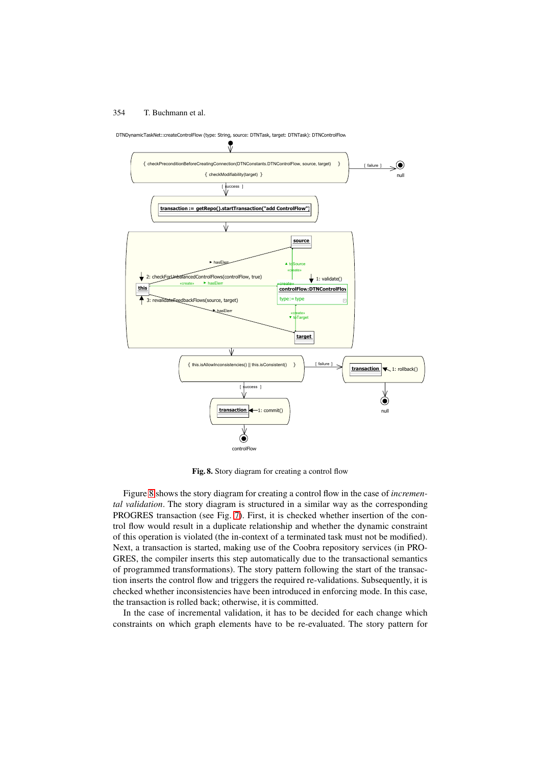

DTNDynamicTaskNet::createControlFlow (type: String, source: DTNTask, target: DTNTask): DTNControlFlow

**Fig. 8.** Story diagram for creating a control flow

<span id="page-9-0"></span>Figure 8 shows the story diagram for creating a control flow in the case of *incremental validation*. The story diagram is structured in a similar way as the corresponding PROGRES transaction (see Fig. 7). First, it is checked whether insertion of the control flow would result in a duplicate relationship and whether the dynamic constraint of this op[er](#page-9-0)ation is violated (the in-context of a terminated task must not be modified). Next, a transaction is started, making use of the Coobra repository services (in PRO-GRES, the compiler inserts this [ste](#page-7-0)p automatically due to the transactional semantics of programmed transformations). The story pattern following the start of the transaction inserts the control flow and triggers the required re-validations. Subsequently, it is checked whether inconsistencies have been introduced in enforcing mode. In this case, the transaction is rolled back; otherwise, it is committed.

In the case of incremental validation, it has to be decided for each change which constraints on which graph elements have to be re-evaluated. The story pattern for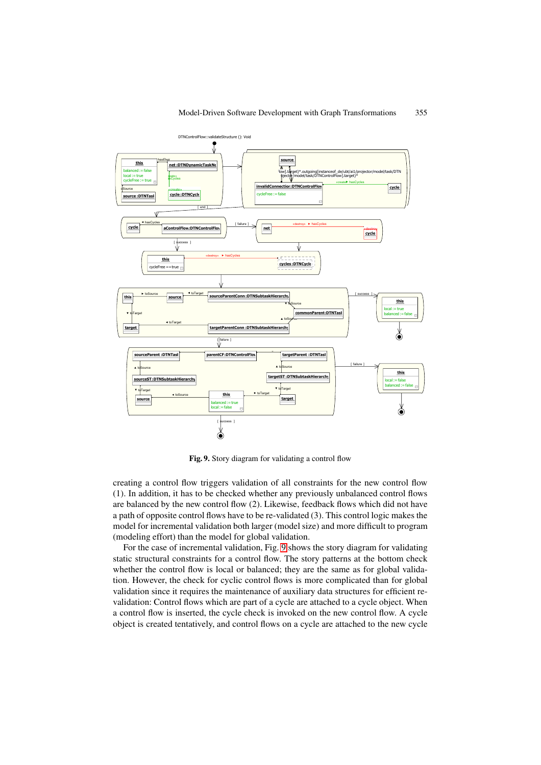

**Fig. 9.** Story diagram for validating a control flow

<span id="page-10-0"></span>creating a control flow triggers validation of all constraints for the new control flow (1). In addition, it has to be checked whether any previously unbalanced control flows are balanced by the new control flow (2). Likewise, feedback flows which did not have a path of opposite control flows have to be re-validated (3). This control logic makes the model for incremental validation both larger (model size) and more difficult to program (modeling effort) than the model for global validation.

For the case of incremental validation, Fig. 9 shows the story diagram for validating static structural constraints for a control flow. The story patterns at the bottom check whether the control flow is local or balanced; they are the same as for global validation. However, the check for cyclic control flows is more complicated than for global validation since it requires the maintenance o[f a](#page-10-0)uxiliary data structures for efficient revalidation: Control flows which are part of a cycle are attached to a cycle object. When a control flow is inserted, the cycle check is invoked on the new control flow. A cycle object is created tentatively, and control flows on a cycle are attached to the new cycle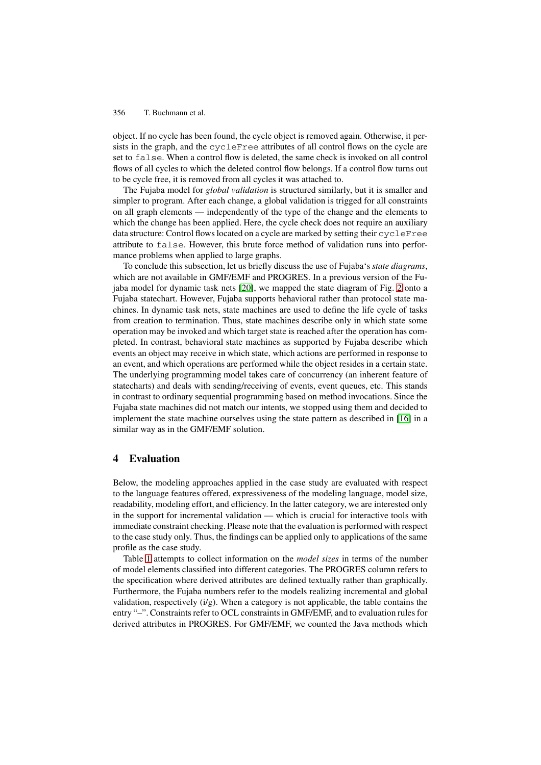object. If no cycle has been found, the cycle object is removed again. Otherwise, it persists in the graph, and the cycleFree attributes of all control flows on the cycle are set to false. When a control flow is deleted, the same check is invoked on all control flows of all cycles to which the deleted control flow belongs. If a control flow turns out to be cycle free, it is removed from all cycles it was attached to.

The Fujaba model for *global validation* is structured similarly, but it is smaller and simpler to program. After each change, a global validation is trigged for all constraints on all graph elements — independently of the type of the change and the elements to which the change has been applied. Here, the cycle check does not require an auxiliary data structure: Control flows located on a cycle are marked by setting their cycleFree attribute to false. However, this brute force method of validation runs into performance problems when applied to large graphs.

To conclude this subsection, let us briefly discuss the use of Fujaba's*state diagrams*, which are not available in GMF/EMF and PROGRES. In a previous version of the Fujaba model for dynamic task nets [20], we mapped the state diagram of Fig. 2 onto a Fujaba statechart. However, Fujaba supports behavioral rather than protocol state machines. In dynamic task nets, state machines are used to define the life cycle of tasks from creation to termination. Thus, state machines describe only in which state some operation may be invoked and whic[h ta](#page-15-12)rget state is reached after the operation [ha](#page-2-0)s completed. In contrast, behavioral state machines as supported by Fujaba describe which events an object may receive in which state, which actions are performed in response to an event, and which operations are performed while the object resides in a certain state. The underlying programming model takes care of concurrency (an inherent feature of statecharts) and deals with sending/receiving of events, event queues, etc. This stands in contrast to ordinary sequential programming based on method invocations. Since the Fujaba state machines did not match our intents, we stopped using them and decided to implement the state machine ourselves using the state pattern as described in [16] in a similar way as in the GMF/EMF solution.

## **4 Evaluation**

<span id="page-11-0"></span>Below, the modeling approaches applied in the case study are evaluated with respect to the language features offered, expressiveness of the modeling language, model size, readability, modeling effort, and efficiency. In the latter category, we are interested only in the support for incremental validation — which is crucial for interactive tools with immediate constraint checking. Please note that the evaluation is performed with respect to the case study only. Thus, the findings can be applied only to applications of the same profile as the case study.

Table 1 attempts to collect information on the *model sizes* in terms of the number of model elements classified into different categories. The PROGRES column refers to the specification where derived attributes are defined textually rather than graphically. Furthermore, the Fujaba numbers refer to the models realizing incremental and global validatio[n,](#page-12-0) respectively  $(i/g)$ . When a category is not applicable, the table contains the entry "–". Constraints refer to OCL constraints in GMF/EMF, and to evaluation rules for derived attributes in PROGRES. For GMF/EMF, we counted the Java methods which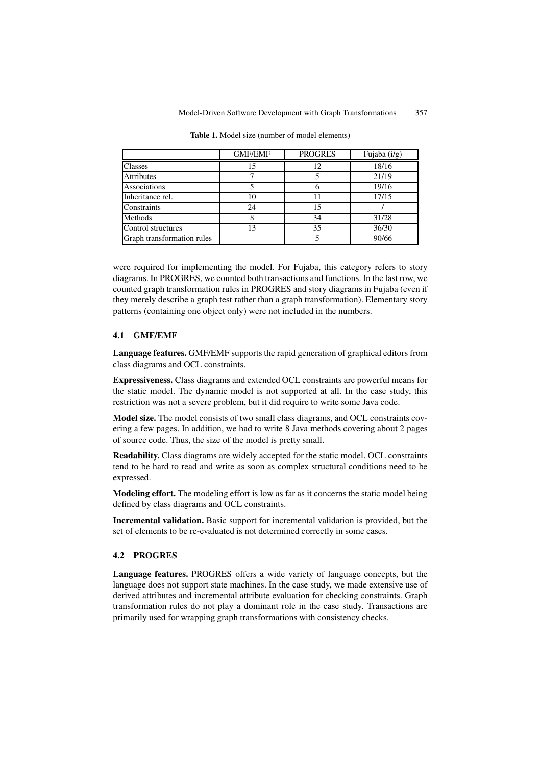|                            | <b>GMF/EMF</b> | <b>PROGRES</b> | Fujaba $(i/g)$ |
|----------------------------|----------------|----------------|----------------|
| Classes                    | 15             | 12.            | 18/16          |
| <b>Attributes</b>          |                |                | 21/19          |
| Associations               |                |                | 19/16          |
| Inheritance rel.           | 10             |                | 17/15          |
| Constraints                | 24             | 15             |                |
| Methods                    |                | 34             | 31/28          |
| Control structures         | 13             | 35             | 36/30          |
| Graph transformation rules |                |                | 90/66          |

<span id="page-12-0"></span>**Table 1.** Model size (number of model elements)

were required for implementing the model. For Fujaba, this category refers to story diagrams. In PROGRES, we counted both transactions and functions. In the last row, we counted graph transformation rules in PROGRES and story diagrams in Fujaba (even if they merely describe a graph test rather than a graph transformation). Elementary story patterns (containing one object only) were not included in the numbers.

### **4.1 GMF/EMF**

**Language features.** GMF/EMF supports the rapid generation of graphical editors from class diagrams and OCL constraints.

**Expressiveness.** Class diagrams and extended OCL constraints are powerful means for the static model. The dynamic model is not supported at all. In the case study, this restriction was not a severe problem, but it did require to write some Java code.

**Model size.** The model consists of two small class diagrams, and OCL constraints covering a few pages. In addition, we had to write 8 Java methods covering about 2 pages of source code. Thus, the size of the model is pretty small.

**Readability.** Class diagrams are widely accepted for the static model. OCL constraints tend to be hard to read and write as soon as complex structural conditions need to be expressed.

**Modeling effort.** The modeling effort is low as far as it concerns the static model being defined by class diagrams and OCL constraints.

**Incremental validation.** Basic support for incremental validation is provided, but the set of elements to be re-evaluated is not determined correctly in some cases.

#### **4.2 PROGRES**

**Language features.** PROGRES offers a wide variety of language concepts, but the language does not support state machines. In the case study, we made extensive use of derived attributes and incremental attribute evaluation for checking constraints. Graph transformation rules do not play a dominant role in the case study. Transactions are primarily used for wrapping graph transformations with consistency checks.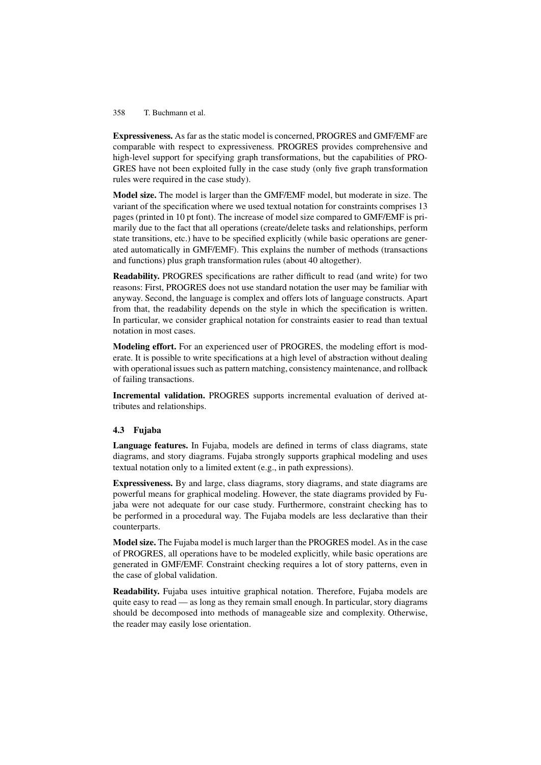**Expressiveness.** As far as the static model is concerned, PROGRES and GMF/EMF are comparable with respect to expressiveness. PROGRES provides comprehensive and high-level support for specifying graph transformations, but the capabilities of PRO-GRES have not been exploited fully in the case study (only five graph transformation rules were required in the case study).

**Model size.** The model is larger than the GMF/EMF model, but moderate in size. The variant of the specification where we used textual notation for constraints comprises 13 pages (printed in 10 pt font). The increase of model size compared to GMF/EMF is primarily due to the fact that all operations (create/delete tasks and relationships, perform state transitions, etc.) have to be specified explicitly (while basic operations are generated automatically in GMF/EMF). This explains the number of methods (transactions and functions) plus graph transformation rules (about 40 altogether).

**Readability.** PROGRES specifications are rather difficult to read (and write) for two reasons: First, PROGRES does not use standard notation the user may be familiar with anyway. Second, the language is complex and offers lots of language constructs. Apart from that, the readability depends on the style in which the specification is written. In particular, we consider graphical notation for constraints easier to read than textual notation in most cases.

**Modeling effort.** For an experienced user of PROGRES, the modeling effort is moderate. It is possible to write specifications at a high level of abstraction without dealing with operational issues such as pattern matching, consistency maintenance, and rollback of failing transactions.

**Incremental validation.** PROGRES supports incremental evaluation of derived attributes and relationships.

#### **4.3 Fujaba**

**Language features.** In Fujaba, models are defined in terms of class diagrams, state diagrams, and story diagrams. Fujaba strongly supports graphical modeling and uses textual notation only to a limited extent (e.g., in path expressions).

**Expressiveness.** By and large, class diagrams, story diagrams, and state diagrams are powerful means for graphical modeling. However, the state diagrams provided by Fujaba were not adequate for our case study. Furthermore, constraint checking has to be performed in a procedural way. The Fujaba models are less declarative than their counterparts.

**Model size.** The Fujaba model is much larger than the PROGRES model. As in the case of PROGRES, all operations have to be modeled explicitly, while basic operations are generated in GMF/EMF. Constraint checking requires a lot of story patterns, even in the case of global validation.

**Readability.** Fujaba uses intuitive graphical notation. Therefore, Fujaba models are quite easy to read — as long as they remain small enough. In particular, story diagrams should be decomposed into methods of manageable size and complexity. Otherwise, the reader may easily lose orientation.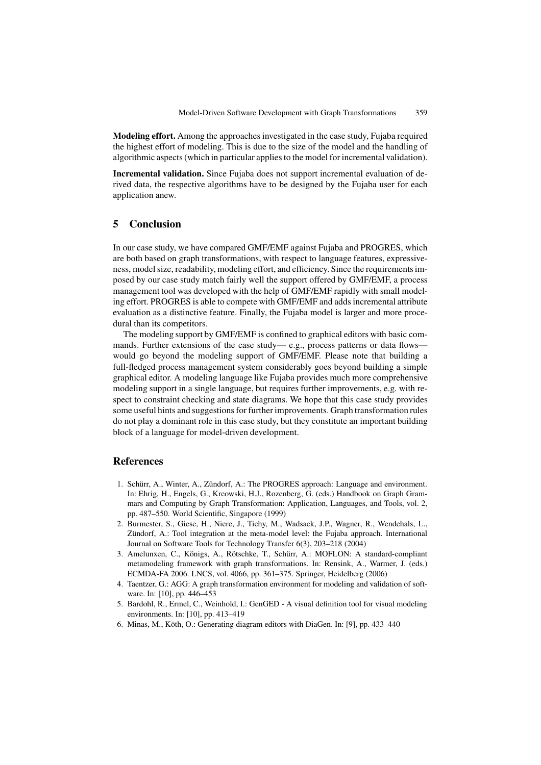**Modeling effort.** Among the approaches investigated in the case study, Fujaba required the highest effort of modeling. This is due to the size of the model and the handling of algorithmic aspects (which in particular applies to the model for incremental validation).

**Incremental validation.** Since Fujaba does not support incremental evaluation of derived data, the respective algorithms have to be designed by the Fujaba user for each application anew.

# **5 Conclusion**

In our case study, we have compared GMF/EMF against Fujaba and PROGRES, which are both based on graph transformations, with respect to language features, expressiveness, model size, readability, modeling effort, and efficiency. Since the requirements imposed by our case study match fairly well the support offered by GMF/EMF, a process management tool was developed with the help of GMF/EMF rapidly with small modeling effort. PROGRES is able to compete with GMF/EMF and adds incremental attribute evaluation as a distinctive feature. Finally, the Fujaba model is larger and more procedural than its competitors.

The modeling support by GMF/EMF is confined to graphical editors with basic commands. Further extensions of the case study— e.g., process patterns or data flows would go beyond the modeling support of GMF/EMF. Please note that building a full-fledged process management system considerably goes beyond building a simple graphical editor. A modeling language like Fujaba provides much more comprehensive modeling support in a single language, but requires further improvements, e.g. with respect to constraint checking and state diagrams. We hope that this case study provides some useful hints and suggestions for further improvements. Graph transformation rules do not play a dominant role in this case study, but they constitute an important building block of a language for model-driven development.

## <span id="page-14-0"></span>**References**

- 1. Schürr, A., Winter, A., Zündorf, A.: The PROGRES approach: Language and environment. In: Ehrig, H., Engels, G., Kreowski, H.J., Rozenberg, G. (eds.) Handbook on Graph Grammars and Computing by Graph Transformation: Application, Languages, and Tools, vol. 2, pp. 487–550. World Scientific, Singapore (1999)
- <span id="page-14-1"></span>2. Burmester, S., Giese, H., Niere, J., Tichy, M., Wadsack, J.P., Wagner, R., Wendehals, L., Zündorf, A.: Tool integration at the meta-model level: the Fujaba approach. International Journal on Software Tools for Technology Transfer 6(3), 203–218 (2004)
- <span id="page-14-2"></span>3. Amelunxen, C., Königs, A., Rötschke, T., Schürr, A.: MOFLON: A standard-compliant metamodeling framework with graph transformations. In: Rensink, A., Warmer, J. (eds.) ECMDA-FA 2006. LNCS, vol. 4066, pp. 361–375. Springer, Heidelberg (2006)
- <span id="page-14-3"></span>4. Taentzer, G.: AGG: A graph transformation environment for modeling and validation of software. In: [10], pp. 446–453
- <span id="page-14-4"></span>5. Bardohl, R., Ermel, C., Weinhold, I.: GenGED - A visual definition tool for visual modeling environments. In: [10], pp. 413–419
- <span id="page-14-5"></span>6. Minas, M., Köth, O.: Generating diagram editors with DiaGen. In: [9], pp. 433–440